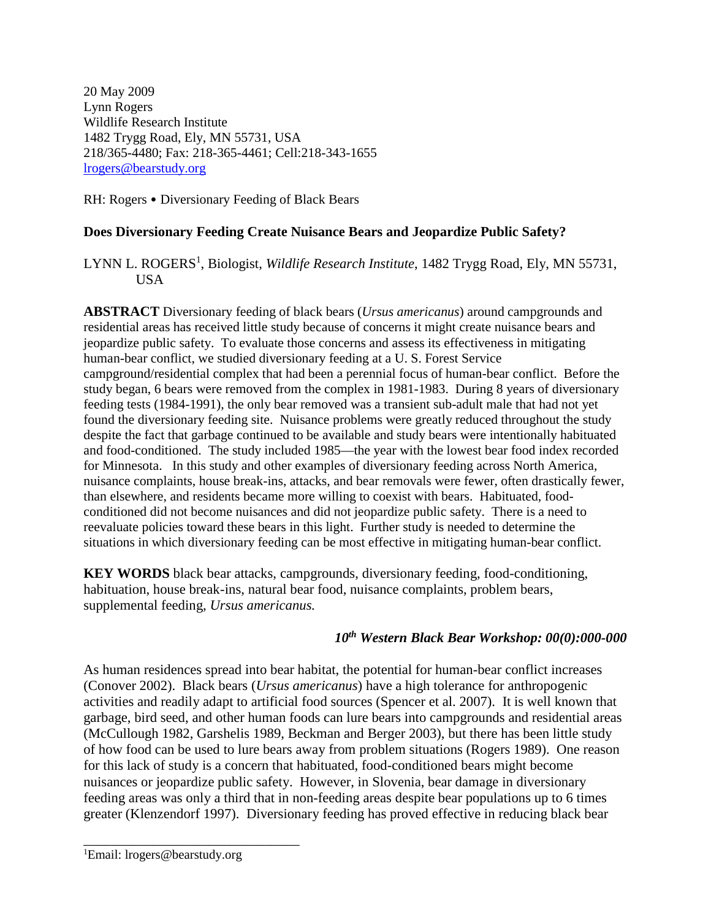20 May 2009 Lynn Rogers Wildlife Research Institute 1482 Trygg Road, Ely, MN 55731, USA 218/365-4480; Fax: 218-365-4461; Cell:218-343-1655 [lrogers@bearstudy.org](mailto:lrogers@bearstudy.org)

RH: Rogers • Diversionary Feeding of Black Bears

# **Does Diversionary Feeding Create Nuisance Bears and Jeopardize Public Safety?**

LYNN L. ROGERS<sup>1</sup>, Biologist, *Wildlife Research Institute*, 1482 Trygg Road, Ely, MN 55731, USA

**ABSTRACT** Diversionary feeding of black bears (*Ursus americanus*) around campgrounds and residential areas has received little study because of concerns it might create nuisance bears and jeopardize public safety. To evaluate those concerns and assess its effectiveness in mitigating human-bear conflict, we studied diversionary feeding at a U. S. Forest Service campground/residential complex that had been a perennial focus of human-bear conflict. Before the study began, 6 bears were removed from the complex in 1981-1983. During 8 years of diversionary feeding tests (1984-1991), the only bear removed was a transient sub-adult male that had not yet found the diversionary feeding site. Nuisance problems were greatly reduced throughout the study despite the fact that garbage continued to be available and study bears were intentionally habituated and food-conditioned. The study included 1985—the year with the lowest bear food index recorded for Minnesota. In this study and other examples of diversionary feeding across North America, nuisance complaints, house break-ins, attacks, and bear removals were fewer, often drastically fewer, than elsewhere, and residents became more willing to coexist with bears. Habituated, foodconditioned did not become nuisances and did not jeopardize public safety. There is a need to reevaluate policies toward these bears in this light. Further study is needed to determine the situations in which diversionary feeding can be most effective in mitigating human-bear conflict.

**KEY WORDS** black bear attacks, campgrounds, diversionary feeding, food-conditioning, habituation, house break-ins, natural bear food, nuisance complaints, problem bears, supplemental feeding, *Ursus americanus.*

## *10th Western Black Bear Workshop: 00(0):000-000*

As human residences spread into bear habitat, the potential for human-bear conflict increases (Conover 2002). Black bears (*Ursus americanus*) have a high tolerance for anthropogenic activities and readily adapt to artificial food sources (Spencer et al. 2007). It is well known that garbage, bird seed, and other human foods can lure bears into campgrounds and residential areas (McCullough 1982, Garshelis 1989, Beckman and Berger 2003), but there has been little study of how food can be used to lure bears away from problem situations (Rogers 1989). One reason for this lack of study is a concern that habituated, food-conditioned bears might become nuisances or jeopardize public safety. However, in Slovenia, bear damage in diversionary feeding areas was only a third that in non-feeding areas despite bear populations up to 6 times greater (Klenzendorf 1997). Diversionary feeding has proved effective in reducing black bear

1 Email: lrogers@bearstudy.org

\_\_\_\_\_\_\_\_\_\_\_\_\_\_\_\_\_\_\_\_\_\_\_\_\_\_\_\_\_\_\_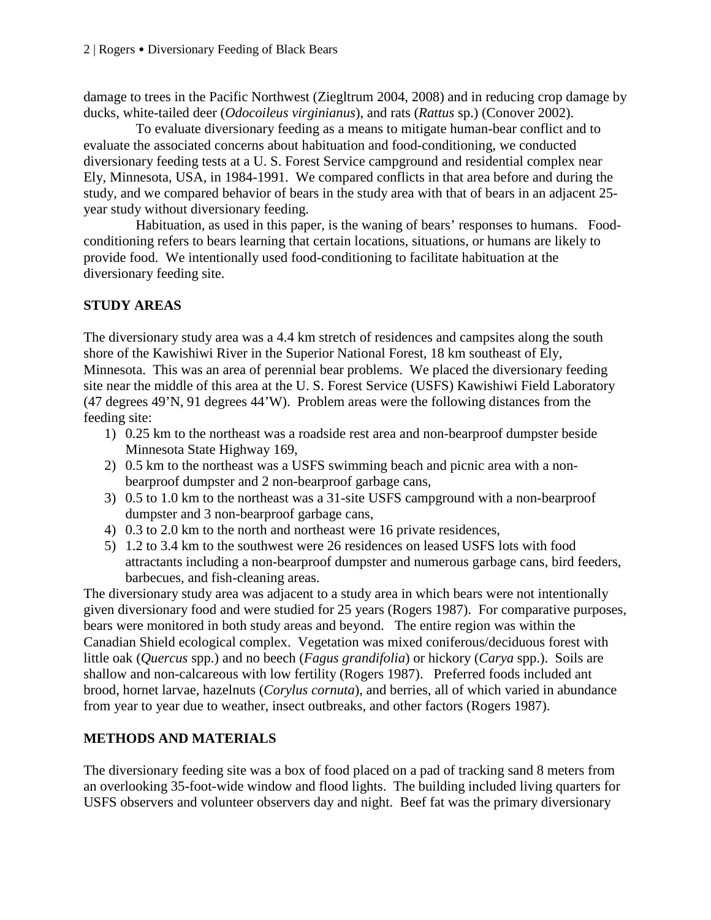damage to trees in the Pacific Northwest (Ziegltrum 2004, 2008) and in reducing crop damage by ducks, white-tailed deer (*Odocoileus virginianus*), and rats (*Rattus* sp.) (Conover 2002).

To evaluate diversionary feeding as a means to mitigate human-bear conflict and to evaluate the associated concerns about habituation and food-conditioning, we conducted diversionary feeding tests at a U. S. Forest Service campground and residential complex near Ely, Minnesota, USA, in 1984-1991. We compared conflicts in that area before and during the study, and we compared behavior of bears in the study area with that of bears in an adjacent 25 year study without diversionary feeding.

Habituation, as used in this paper, is the waning of bears' responses to humans. Foodconditioning refers to bears learning that certain locations, situations, or humans are likely to provide food. We intentionally used food-conditioning to facilitate habituation at the diversionary feeding site.

## **STUDY AREAS**

The diversionary study area was a 4.4 km stretch of residences and campsites along the south shore of the Kawishiwi River in the Superior National Forest, 18 km southeast of Ely, Minnesota. This was an area of perennial bear problems. We placed the diversionary feeding site near the middle of this area at the U. S. Forest Service (USFS) Kawishiwi Field Laboratory (47 degrees 49'N, 91 degrees 44'W). Problem areas were the following distances from the feeding site:

- 1) 0.25 km to the northeast was a roadside rest area and non-bearproof dumpster beside Minnesota State Highway 169,
- 2) 0.5 km to the northeast was a USFS swimming beach and picnic area with a nonbearproof dumpster and 2 non-bearproof garbage cans,
- 3) 0.5 to 1.0 km to the northeast was a 31-site USFS campground with a non-bearproof dumpster and 3 non-bearproof garbage cans,
- 4) 0.3 to 2.0 km to the north and northeast were 16 private residences,
- 5) 1.2 to 3.4 km to the southwest were 26 residences on leased USFS lots with food attractants including a non-bearproof dumpster and numerous garbage cans, bird feeders, barbecues, and fish-cleaning areas.

The diversionary study area was adjacent to a study area in which bears were not intentionally given diversionary food and were studied for 25 years (Rogers 1987). For comparative purposes, bears were monitored in both study areas and beyond. The entire region was within the Canadian Shield ecological complex. Vegetation was mixed coniferous/deciduous forest with little oak (*Quercus* spp.) and no beech (*Fagus grandifolia*) or hickory (*Carya* spp.). Soils are shallow and non-calcareous with low fertility (Rogers 1987). Preferred foods included ant brood, hornet larvae, hazelnuts (*Corylus cornuta*), and berries, all of which varied in abundance from year to year due to weather, insect outbreaks, and other factors (Rogers 1987).

## **METHODS AND MATERIALS**

The diversionary feeding site was a box of food placed on a pad of tracking sand 8 meters from an overlooking 35-foot-wide window and flood lights. The building included living quarters for USFS observers and volunteer observers day and night. Beef fat was the primary diversionary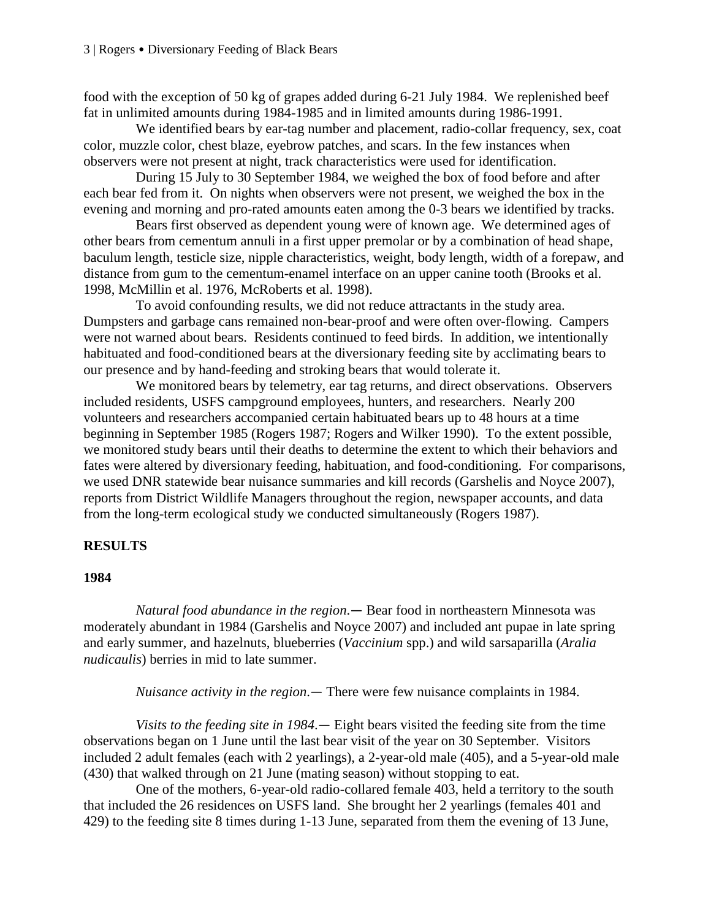food with the exception of 50 kg of grapes added during 6-21 July 1984. We replenished beef fat in unlimited amounts during 1984-1985 and in limited amounts during 1986-1991.

We identified bears by ear-tag number and placement, radio-collar frequency, sex, coat color, muzzle color, chest blaze, eyebrow patches, and scars. In the few instances when observers were not present at night, track characteristics were used for identification.

During 15 July to 30 September 1984, we weighed the box of food before and after each bear fed from it. On nights when observers were not present, we weighed the box in the evening and morning and pro-rated amounts eaten among the 0-3 bears we identified by tracks.

Bears first observed as dependent young were of known age. We determined ages of other bears from cementum annuli in a first upper premolar or by a combination of head shape, baculum length, testicle size, nipple characteristics, weight, body length, width of a forepaw, and distance from gum to the cementum-enamel interface on an upper canine tooth (Brooks et al. 1998, McMillin et al. 1976, McRoberts et al. 1998).

To avoid confounding results, we did not reduce attractants in the study area. Dumpsters and garbage cans remained non-bear-proof and were often over-flowing. Campers were not warned about bears. Residents continued to feed birds. In addition, we intentionally habituated and food-conditioned bears at the diversionary feeding site by acclimating bears to our presence and by hand-feeding and stroking bears that would tolerate it.

We monitored bears by telemetry, ear tag returns, and direct observations. Observers included residents, USFS campground employees, hunters, and researchers. Nearly 200 volunteers and researchers accompanied certain habituated bears up to 48 hours at a time beginning in September 1985 (Rogers 1987; Rogers and Wilker 1990). To the extent possible, we monitored study bears until their deaths to determine the extent to which their behaviors and fates were altered by diversionary feeding, habituation, and food-conditioning. For comparisons, we used DNR statewide bear nuisance summaries and kill records (Garshelis and Noyce 2007), reports from District Wildlife Managers throughout the region, newspaper accounts, and data from the long-term ecological study we conducted simultaneously (Rogers 1987).

### **RESULTS**

#### **1984**

*Natural food abundance in the region*.— Bear food in northeastern Minnesota was moderately abundant in 1984 (Garshelis and Noyce 2007) and included ant pupae in late spring and early summer, and hazelnuts, blueberries (*Vaccinium* spp.) and wild sarsaparilla (*Aralia nudicaulis*) berries in mid to late summer.

*Nuisance activity in the region*.— There were few nuisance complaints in 1984.

*Visits to the feeding site in 1984*.— Eight bears visited the feeding site from the time observations began on 1 June until the last bear visit of the year on 30 September. Visitors included 2 adult females (each with 2 yearlings), a 2-year-old male (405), and a 5-year-old male (430) that walked through on 21 June (mating season) without stopping to eat.

One of the mothers, 6-year-old radio-collared female 403, held a territory to the south that included the 26 residences on USFS land. She brought her 2 yearlings (females 401 and 429) to the feeding site 8 times during 1-13 June, separated from them the evening of 13 June,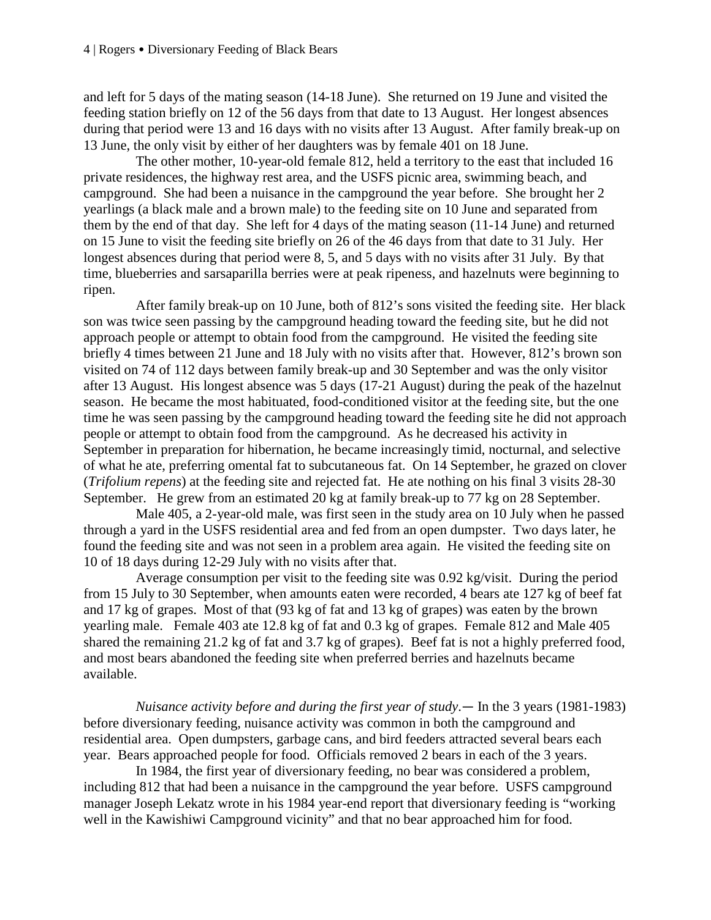and left for 5 days of the mating season (14-18 June). She returned on 19 June and visited the feeding station briefly on 12 of the 56 days from that date to 13 August. Her longest absences during that period were 13 and 16 days with no visits after 13 August. After family break-up on 13 June, the only visit by either of her daughters was by female 401 on 18 June.

The other mother, 10-year-old female 812, held a territory to the east that included 16 private residences, the highway rest area, and the USFS picnic area, swimming beach, and campground. She had been a nuisance in the campground the year before. She brought her 2 yearlings (a black male and a brown male) to the feeding site on 10 June and separated from them by the end of that day. She left for 4 days of the mating season (11-14 June) and returned on 15 June to visit the feeding site briefly on 26 of the 46 days from that date to 31 July. Her longest absences during that period were 8, 5, and 5 days with no visits after 31 July. By that time, blueberries and sarsaparilla berries were at peak ripeness, and hazelnuts were beginning to ripen.

After family break-up on 10 June, both of 812's sons visited the feeding site. Her black son was twice seen passing by the campground heading toward the feeding site, but he did not approach people or attempt to obtain food from the campground. He visited the feeding site briefly 4 times between 21 June and 18 July with no visits after that. However, 812's brown son visited on 74 of 112 days between family break-up and 30 September and was the only visitor after 13 August. His longest absence was 5 days (17-21 August) during the peak of the hazelnut season. He became the most habituated, food-conditioned visitor at the feeding site, but the one time he was seen passing by the campground heading toward the feeding site he did not approach people or attempt to obtain food from the campground. As he decreased his activity in September in preparation for hibernation, he became increasingly timid, nocturnal, and selective of what he ate, preferring omental fat to subcutaneous fat. On 14 September, he grazed on clover (*Trifolium repens*) at the feeding site and rejected fat. He ate nothing on his final 3 visits 28-30 September. He grew from an estimated 20 kg at family break-up to 77 kg on 28 September.

Male 405, a 2-year-old male, was first seen in the study area on 10 July when he passed through a yard in the USFS residential area and fed from an open dumpster. Two days later, he found the feeding site and was not seen in a problem area again. He visited the feeding site on 10 of 18 days during 12-29 July with no visits after that.

Average consumption per visit to the feeding site was 0.92 kg/visit. During the period from 15 July to 30 September, when amounts eaten were recorded, 4 bears ate 127 kg of beef fat and 17 kg of grapes. Most of that (93 kg of fat and 13 kg of grapes) was eaten by the brown yearling male. Female 403 ate 12.8 kg of fat and 0.3 kg of grapes. Female 812 and Male 405 shared the remaining 21.2 kg of fat and 3.7 kg of grapes). Beef fat is not a highly preferred food, and most bears abandoned the feeding site when preferred berries and hazelnuts became available.

*Nuisance activity before and during the first year of study*.— In the 3 years (1981-1983) before diversionary feeding, nuisance activity was common in both the campground and residential area. Open dumpsters, garbage cans, and bird feeders attracted several bears each year. Bears approached people for food. Officials removed 2 bears in each of the 3 years.

In 1984, the first year of diversionary feeding, no bear was considered a problem, including 812 that had been a nuisance in the campground the year before. USFS campground manager Joseph Lekatz wrote in his 1984 year-end report that diversionary feeding is "working well in the Kawishiwi Campground vicinity" and that no bear approached him for food.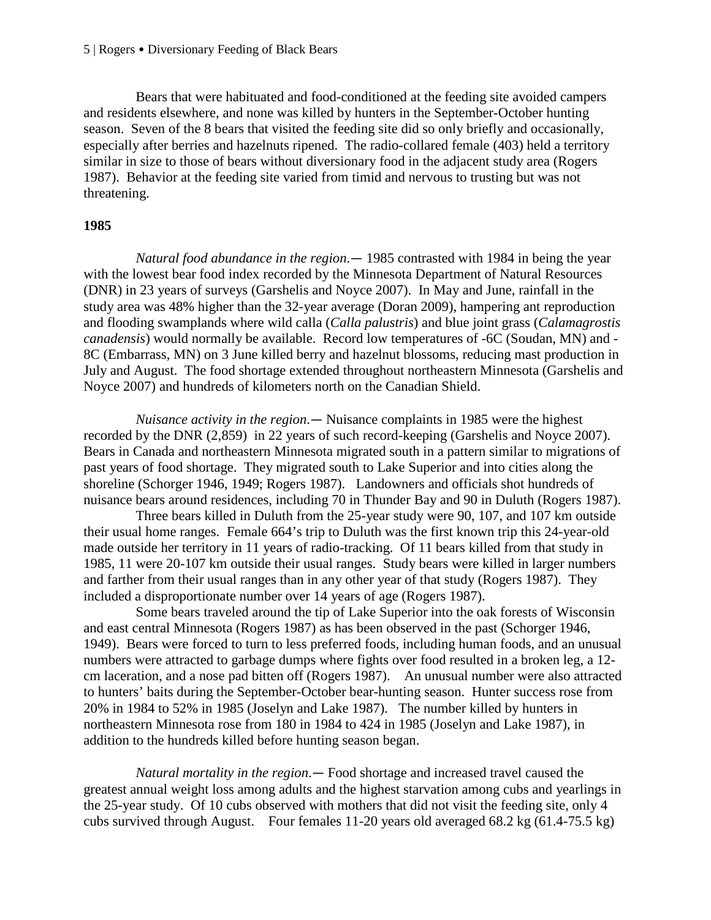Bears that were habituated and food-conditioned at the feeding site avoided campers and residents elsewhere, and none was killed by hunters in the September-October hunting season. Seven of the 8 bears that visited the feeding site did so only briefly and occasionally, especially after berries and hazelnuts ripened. The radio-collared female (403) held a territory similar in size to those of bears without diversionary food in the adjacent study area (Rogers 1987). Behavior at the feeding site varied from timid and nervous to trusting but was not threatening.

### **1985**

*Natural food abundance in the region*.— 1985 contrasted with 1984 in being the year with the lowest bear food index recorded by the Minnesota Department of Natural Resources (DNR) in 23 years of surveys (Garshelis and Noyce 2007). In May and June, rainfall in the study area was 48% higher than the 32-year average (Doran 2009), hampering ant reproduction and flooding swamplands where wild calla (*Calla palustris*) and blue joint grass (*Calamagrostis canadensis*) would normally be available. Record low temperatures of -6C (Soudan, MN) and - 8C (Embarrass, MN) on 3 June killed berry and hazelnut blossoms, reducing mast production in July and August. The food shortage extended throughout northeastern Minnesota (Garshelis and Noyce 2007) and hundreds of kilometers north on the Canadian Shield.

*Nuisance activity in the region*.— Nuisance complaints in 1985 were the highest recorded by the DNR (2,859) in 22 years of such record-keeping (Garshelis and Noyce 2007). Bears in Canada and northeastern Minnesota migrated south in a pattern similar to migrations of past years of food shortage. They migrated south to Lake Superior and into cities along the shoreline (Schorger 1946, 1949; Rogers 1987). Landowners and officials shot hundreds of nuisance bears around residences, including 70 in Thunder Bay and 90 in Duluth (Rogers 1987).

Three bears killed in Duluth from the 25-year study were 90, 107, and 107 km outside their usual home ranges. Female 664's trip to Duluth was the first known trip this 24-year-old made outside her territory in 11 years of radio-tracking. Of 11 bears killed from that study in 1985, 11 were 20-107 km outside their usual ranges. Study bears were killed in larger numbers and farther from their usual ranges than in any other year of that study (Rogers 1987). They included a disproportionate number over 14 years of age (Rogers 1987).

Some bears traveled around the tip of Lake Superior into the oak forests of Wisconsin and east central Minnesota (Rogers 1987) as has been observed in the past (Schorger 1946, 1949). Bears were forced to turn to less preferred foods, including human foods, and an unusual numbers were attracted to garbage dumps where fights over food resulted in a broken leg, a 12 cm laceration, and a nose pad bitten off (Rogers 1987). An unusual number were also attracted to hunters' baits during the September-October bear-hunting season. Hunter success rose from 20% in 1984 to 52% in 1985 (Joselyn and Lake 1987). The number killed by hunters in northeastern Minnesota rose from 180 in 1984 to 424 in 1985 (Joselyn and Lake 1987), in addition to the hundreds killed before hunting season began.

*Natural mortality in the region*.— Food shortage and increased travel caused the greatest annual weight loss among adults and the highest starvation among cubs and yearlings in the 25-year study. Of 10 cubs observed with mothers that did not visit the feeding site, only 4 cubs survived through August. Four females 11-20 years old averaged 68.2 kg (61.4-75.5 kg)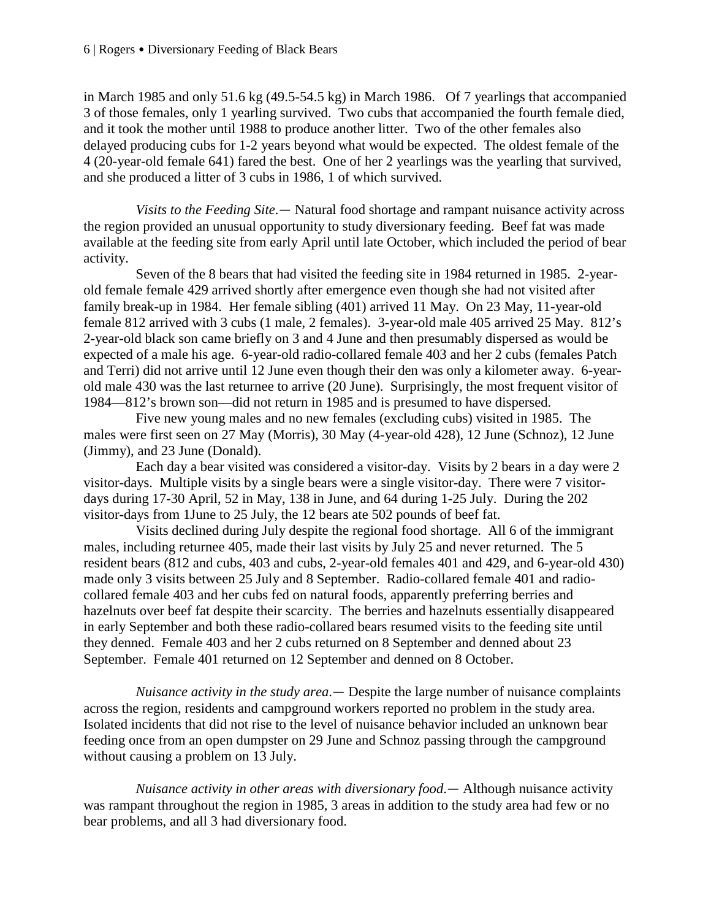in March 1985 and only 51.6 kg (49.5-54.5 kg) in March 1986. Of 7 yearlings that accompanied 3 of those females, only 1 yearling survived. Two cubs that accompanied the fourth female died, and it took the mother until 1988 to produce another litter. Two of the other females also delayed producing cubs for 1-2 years beyond what would be expected. The oldest female of the 4 (20-year-old female 641) fared the best. One of her 2 yearlings was the yearling that survived, and she produced a litter of 3 cubs in 1986, 1 of which survived.

*Visits to the Feeding Site*.— Natural food shortage and rampant nuisance activity across the region provided an unusual opportunity to study diversionary feeding. Beef fat was made available at the feeding site from early April until late October, which included the period of bear activity.

Seven of the 8 bears that had visited the feeding site in 1984 returned in 1985. 2-yearold female female 429 arrived shortly after emergence even though she had not visited after family break-up in 1984. Her female sibling (401) arrived 11 May. On 23 May, 11-year-old female 812 arrived with 3 cubs (1 male, 2 females). 3-year-old male 405 arrived 25 May. 812's 2-year-old black son came briefly on 3 and 4 June and then presumably dispersed as would be expected of a male his age. 6-year-old radio-collared female 403 and her 2 cubs (females Patch and Terri) did not arrive until 12 June even though their den was only a kilometer away. 6-yearold male 430 was the last returnee to arrive (20 June). Surprisingly, the most frequent visitor of 1984—812's brown son—did not return in 1985 and is presumed to have dispersed.

Five new young males and no new females (excluding cubs) visited in 1985. The males were first seen on 27 May (Morris), 30 May (4-year-old 428), 12 June (Schnoz), 12 June (Jimmy), and 23 June (Donald).

Each day a bear visited was considered a visitor-day. Visits by 2 bears in a day were 2 visitor-days. Multiple visits by a single bears were a single visitor-day. There were 7 visitordays during 17-30 April, 52 in May, 138 in June, and 64 during 1-25 July. During the 202 visitor-days from 1June to 25 July, the 12 bears ate 502 pounds of beef fat.

Visits declined during July despite the regional food shortage. All 6 of the immigrant males, including returnee 405, made their last visits by July 25 and never returned. The 5 resident bears (812 and cubs, 403 and cubs, 2-year-old females 401 and 429, and 6-year-old 430) made only 3 visits between 25 July and 8 September. Radio-collared female 401 and radiocollared female 403 and her cubs fed on natural foods, apparently preferring berries and hazelnuts over beef fat despite their scarcity. The berries and hazelnuts essentially disappeared in early September and both these radio-collared bears resumed visits to the feeding site until they denned. Female 403 and her 2 cubs returned on 8 September and denned about 23 September. Female 401 returned on 12 September and denned on 8 October.

*Nuisance activity in the study area*.— Despite the large number of nuisance complaints across the region, residents and campground workers reported no problem in the study area. Isolated incidents that did not rise to the level of nuisance behavior included an unknown bear feeding once from an open dumpster on 29 June and Schnoz passing through the campground without causing a problem on 13 July.

*Nuisance activity in other areas with diversionary food*.— Although nuisance activity was rampant throughout the region in 1985, 3 areas in addition to the study area had few or no bear problems, and all 3 had diversionary food.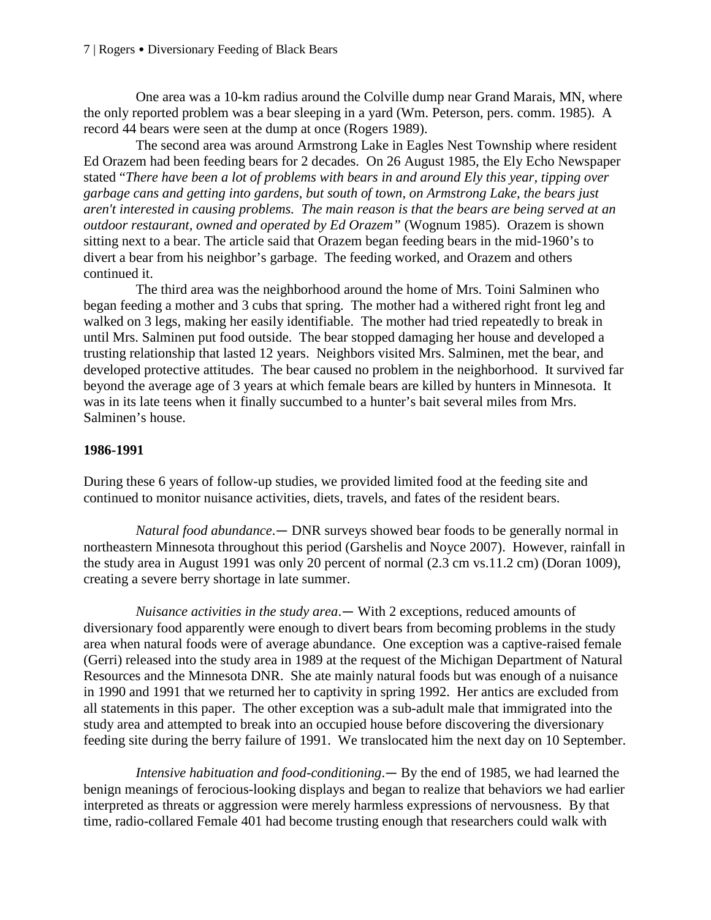One area was a 10-km radius around the Colville dump near Grand Marais, MN, where the only reported problem was a bear sleeping in a yard (Wm. Peterson, pers. comm. 1985). A record 44 bears were seen at the dump at once (Rogers 1989).

The second area was around Armstrong Lake in Eagles Nest Township where resident Ed Orazem had been feeding bears for 2 decades. On 26 August 1985, the Ely Echo Newspaper stated "*There have been a lot of problems with bears in and around Ely this year, tipping over garbage cans and getting into gardens, but south of town, on Armstrong Lake, the bears just aren't interested in causing problems. The main reason is that the bears are being served at an outdoor restaurant, owned and operated by Ed Orazem"* (Wognum 1985). Orazem is shown sitting next to a bear. The article said that Orazem began feeding bears in the mid-1960's to divert a bear from his neighbor's garbage. The feeding worked, and Orazem and others continued it.

The third area was the neighborhood around the home of Mrs. Toini Salminen who began feeding a mother and 3 cubs that spring. The mother had a withered right front leg and walked on 3 legs, making her easily identifiable. The mother had tried repeatedly to break in until Mrs. Salminen put food outside. The bear stopped damaging her house and developed a trusting relationship that lasted 12 years. Neighbors visited Mrs. Salminen, met the bear, and developed protective attitudes. The bear caused no problem in the neighborhood. It survived far beyond the average age of 3 years at which female bears are killed by hunters in Minnesota. It was in its late teens when it finally succumbed to a hunter's bait several miles from Mrs. Salminen's house.

### **1986-1991**

During these 6 years of follow-up studies, we provided limited food at the feeding site and continued to monitor nuisance activities, diets, travels, and fates of the resident bears.

*Natural food abundance*.— DNR surveys showed bear foods to be generally normal in northeastern Minnesota throughout this period (Garshelis and Noyce 2007). However, rainfall in the study area in August 1991 was only 20 percent of normal (2.3 cm vs.11.2 cm) (Doran 1009), creating a severe berry shortage in late summer.

*Nuisance activities in the study area*.— With 2 exceptions, reduced amounts of diversionary food apparently were enough to divert bears from becoming problems in the study area when natural foods were of average abundance. One exception was a captive-raised female (Gerri) released into the study area in 1989 at the request of the Michigan Department of Natural Resources and the Minnesota DNR. She ate mainly natural foods but was enough of a nuisance in 1990 and 1991 that we returned her to captivity in spring 1992. Her antics are excluded from all statements in this paper. The other exception was a sub-adult male that immigrated into the study area and attempted to break into an occupied house before discovering the diversionary feeding site during the berry failure of 1991. We translocated him the next day on 10 September.

*Intensive habituation and food-conditioning*.— By the end of 1985, we had learned the benign meanings of ferocious-looking displays and began to realize that behaviors we had earlier interpreted as threats or aggression were merely harmless expressions of nervousness. By that time, radio-collared Female 401 had become trusting enough that researchers could walk with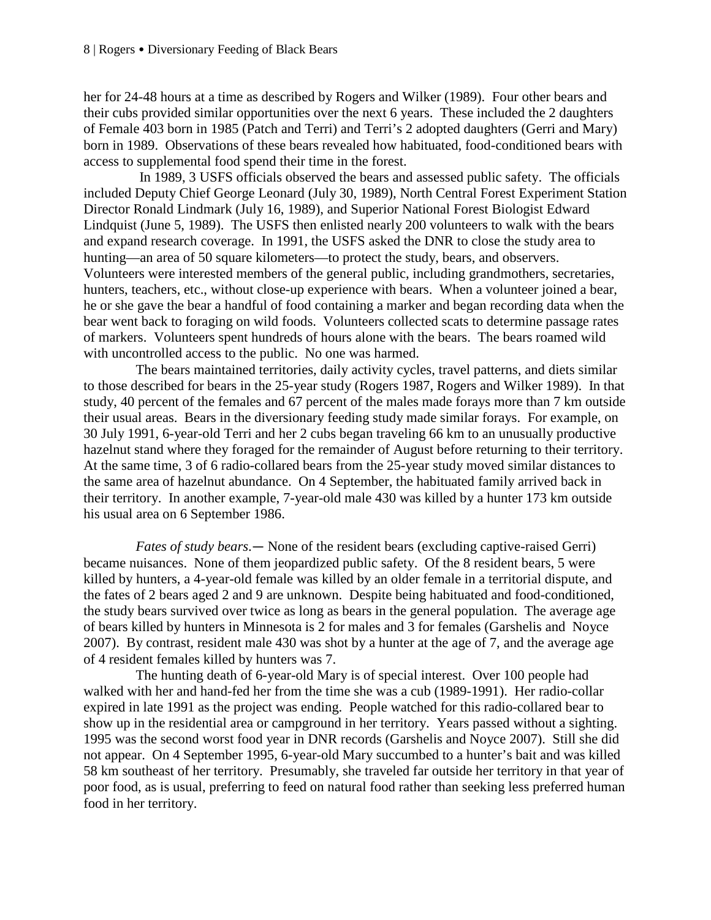her for 24-48 hours at a time as described by Rogers and Wilker (1989). Four other bears and their cubs provided similar opportunities over the next 6 years. These included the 2 daughters of Female 403 born in 1985 (Patch and Terri) and Terri's 2 adopted daughters (Gerri and Mary) born in 1989. Observations of these bears revealed how habituated, food-conditioned bears with access to supplemental food spend their time in the forest.

In 1989, 3 USFS officials observed the bears and assessed public safety. The officials included Deputy Chief George Leonard (July 30, 1989), North Central Forest Experiment Station Director Ronald Lindmark (July 16, 1989), and Superior National Forest Biologist Edward Lindquist (June 5, 1989). The USFS then enlisted nearly 200 volunteers to walk with the bears and expand research coverage. In 1991, the USFS asked the DNR to close the study area to hunting—an area of 50 square kilometers—to protect the study, bears, and observers. Volunteers were interested members of the general public, including grandmothers, secretaries, hunters, teachers, etc., without close-up experience with bears. When a volunteer joined a bear, he or she gave the bear a handful of food containing a marker and began recording data when the bear went back to foraging on wild foods. Volunteers collected scats to determine passage rates of markers. Volunteers spent hundreds of hours alone with the bears. The bears roamed wild with uncontrolled access to the public. No one was harmed.

The bears maintained territories, daily activity cycles, travel patterns, and diets similar to those described for bears in the 25-year study (Rogers 1987, Rogers and Wilker 1989). In that study, 40 percent of the females and 67 percent of the males made forays more than 7 km outside their usual areas. Bears in the diversionary feeding study made similar forays. For example, on 30 July 1991, 6-year-old Terri and her 2 cubs began traveling 66 km to an unusually productive hazelnut stand where they foraged for the remainder of August before returning to their territory. At the same time, 3 of 6 radio-collared bears from the 25-year study moved similar distances to the same area of hazelnut abundance. On 4 September, the habituated family arrived back in their territory. In another example, 7-year-old male 430 was killed by a hunter 173 km outside his usual area on 6 September 1986.

*Fates of study bears*.— None of the resident bears (excluding captive-raised Gerri) became nuisances. None of them jeopardized public safety. Of the 8 resident bears, 5 were killed by hunters, a 4-year-old female was killed by an older female in a territorial dispute, and the fates of 2 bears aged 2 and 9 are unknown. Despite being habituated and food-conditioned, the study bears survived over twice as long as bears in the general population. The average age of bears killed by hunters in Minnesota is 2 for males and 3 for females (Garshelis and Noyce 2007). By contrast, resident male 430 was shot by a hunter at the age of 7, and the average age of 4 resident females killed by hunters was 7.

The hunting death of 6-year-old Mary is of special interest. Over 100 people had walked with her and hand-fed her from the time she was a cub (1989-1991). Her radio-collar expired in late 1991 as the project was ending. People watched for this radio-collared bear to show up in the residential area or campground in her territory. Years passed without a sighting. 1995 was the second worst food year in DNR records (Garshelis and Noyce 2007). Still she did not appear. On 4 September 1995, 6-year-old Mary succumbed to a hunter's bait and was killed 58 km southeast of her territory. Presumably, she traveled far outside her territory in that year of poor food, as is usual, preferring to feed on natural food rather than seeking less preferred human food in her territory.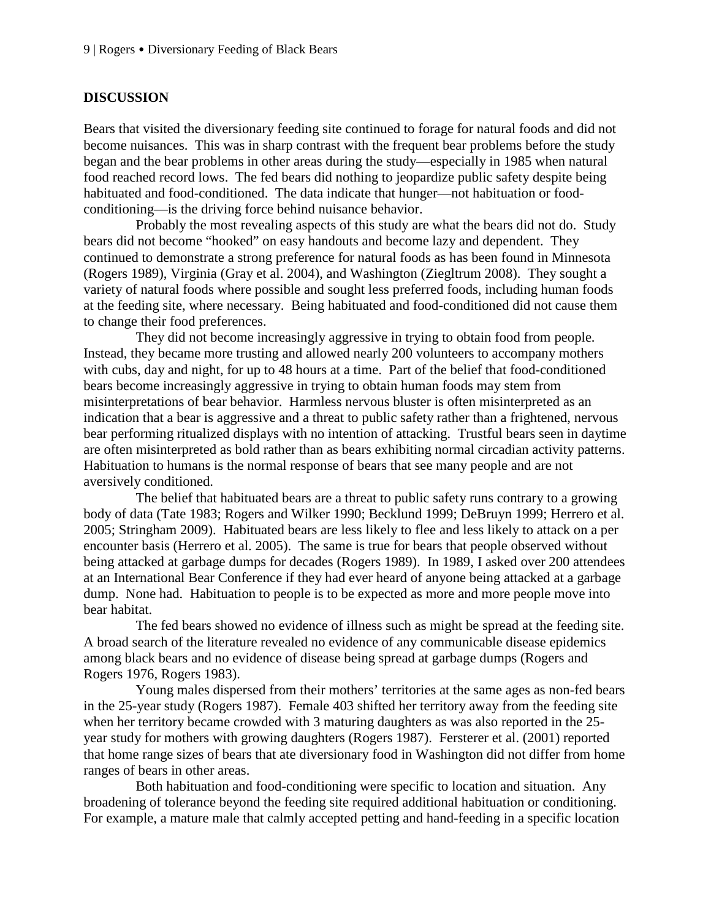## **DISCUSSION**

Bears that visited the diversionary feeding site continued to forage for natural foods and did not become nuisances. This was in sharp contrast with the frequent bear problems before the study began and the bear problems in other areas during the study—especially in 1985 when natural food reached record lows. The fed bears did nothing to jeopardize public safety despite being habituated and food-conditioned. The data indicate that hunger—not habituation or foodconditioning—is the driving force behind nuisance behavior.

Probably the most revealing aspects of this study are what the bears did not do. Study bears did not become "hooked" on easy handouts and become lazy and dependent. They continued to demonstrate a strong preference for natural foods as has been found in Minnesota (Rogers 1989), Virginia (Gray et al. 2004), and Washington (Ziegltrum 2008). They sought a variety of natural foods where possible and sought less preferred foods, including human foods at the feeding site, where necessary. Being habituated and food-conditioned did not cause them to change their food preferences.

They did not become increasingly aggressive in trying to obtain food from people. Instead, they became more trusting and allowed nearly 200 volunteers to accompany mothers with cubs, day and night, for up to 48 hours at a time. Part of the belief that food-conditioned bears become increasingly aggressive in trying to obtain human foods may stem from misinterpretations of bear behavior. Harmless nervous bluster is often misinterpreted as an indication that a bear is aggressive and a threat to public safety rather than a frightened, nervous bear performing ritualized displays with no intention of attacking. Trustful bears seen in daytime are often misinterpreted as bold rather than as bears exhibiting normal circadian activity patterns. Habituation to humans is the normal response of bears that see many people and are not aversively conditioned.

The belief that habituated bears are a threat to public safety runs contrary to a growing body of data (Tate 1983; Rogers and Wilker 1990; Becklund 1999; DeBruyn 1999; Herrero et al. 2005; Stringham 2009). Habituated bears are less likely to flee and less likely to attack on a per encounter basis (Herrero et al. 2005). The same is true for bears that people observed without being attacked at garbage dumps for decades (Rogers 1989). In 1989, I asked over 200 attendees at an International Bear Conference if they had ever heard of anyone being attacked at a garbage dump. None had. Habituation to people is to be expected as more and more people move into bear habitat.

The fed bears showed no evidence of illness such as might be spread at the feeding site. A broad search of the literature revealed no evidence of any communicable disease epidemics among black bears and no evidence of disease being spread at garbage dumps (Rogers and Rogers 1976, Rogers 1983).

Young males dispersed from their mothers' territories at the same ages as non-fed bears in the 25-year study (Rogers 1987). Female 403 shifted her territory away from the feeding site when her territory became crowded with 3 maturing daughters as was also reported in the 25 year study for mothers with growing daughters (Rogers 1987). Fersterer et al. (2001) reported that home range sizes of bears that ate diversionary food in Washington did not differ from home ranges of bears in other areas.

Both habituation and food-conditioning were specific to location and situation. Any broadening of tolerance beyond the feeding site required additional habituation or conditioning. For example, a mature male that calmly accepted petting and hand-feeding in a specific location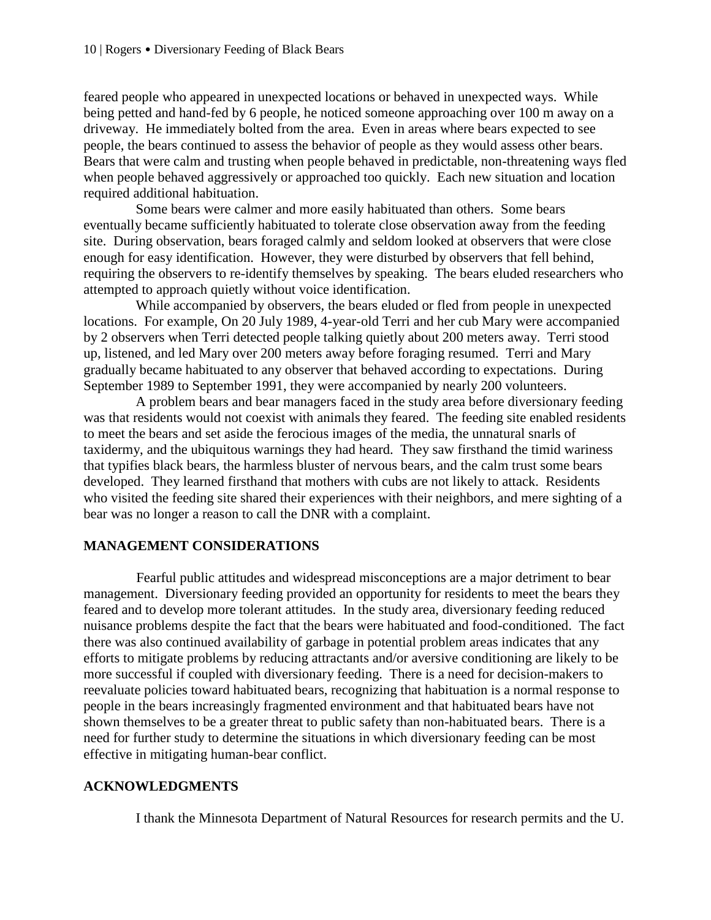feared people who appeared in unexpected locations or behaved in unexpected ways. While being petted and hand-fed by 6 people, he noticed someone approaching over 100 m away on a driveway. He immediately bolted from the area. Even in areas where bears expected to see people, the bears continued to assess the behavior of people as they would assess other bears. Bears that were calm and trusting when people behaved in predictable, non-threatening ways fled when people behaved aggressively or approached too quickly. Each new situation and location required additional habituation.

Some bears were calmer and more easily habituated than others. Some bears eventually became sufficiently habituated to tolerate close observation away from the feeding site. During observation, bears foraged calmly and seldom looked at observers that were close enough for easy identification. However, they were disturbed by observers that fell behind, requiring the observers to re-identify themselves by speaking. The bears eluded researchers who attempted to approach quietly without voice identification.

While accompanied by observers, the bears eluded or fled from people in unexpected locations. For example, On 20 July 1989, 4-year-old Terri and her cub Mary were accompanied by 2 observers when Terri detected people talking quietly about 200 meters away. Terri stood up, listened, and led Mary over 200 meters away before foraging resumed. Terri and Mary gradually became habituated to any observer that behaved according to expectations. During September 1989 to September 1991, they were accompanied by nearly 200 volunteers.

A problem bears and bear managers faced in the study area before diversionary feeding was that residents would not coexist with animals they feared. The feeding site enabled residents to meet the bears and set aside the ferocious images of the media, the unnatural snarls of taxidermy, and the ubiquitous warnings they had heard. They saw firsthand the timid wariness that typifies black bears, the harmless bluster of nervous bears, and the calm trust some bears developed. They learned firsthand that mothers with cubs are not likely to attack. Residents who visited the feeding site shared their experiences with their neighbors, and mere sighting of a bear was no longer a reason to call the DNR with a complaint.

#### **MANAGEMENT CONSIDERATIONS**

Fearful public attitudes and widespread misconceptions are a major detriment to bear management. Diversionary feeding provided an opportunity for residents to meet the bears they feared and to develop more tolerant attitudes. In the study area, diversionary feeding reduced nuisance problems despite the fact that the bears were habituated and food-conditioned. The fact there was also continued availability of garbage in potential problem areas indicates that any efforts to mitigate problems by reducing attractants and/or aversive conditioning are likely to be more successful if coupled with diversionary feeding. There is a need for decision-makers to reevaluate policies toward habituated bears, recognizing that habituation is a normal response to people in the bears increasingly fragmented environment and that habituated bears have not shown themselves to be a greater threat to public safety than non-habituated bears. There is a need for further study to determine the situations in which diversionary feeding can be most effective in mitigating human-bear conflict.

#### **ACKNOWLEDGMENTS**

I thank the Minnesota Department of Natural Resources for research permits and the U.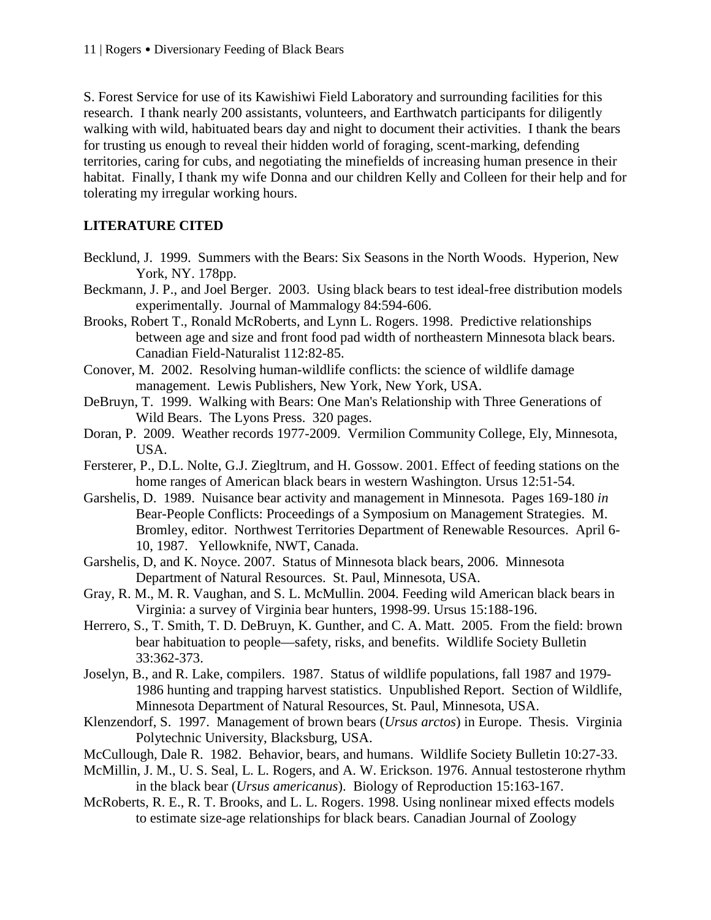S. Forest Service for use of its Kawishiwi Field Laboratory and surrounding facilities for this research. I thank nearly 200 assistants, volunteers, and Earthwatch participants for diligently walking with wild, habituated bears day and night to document their activities. I thank the bears for trusting us enough to reveal their hidden world of foraging, scent-marking, defending territories, caring for cubs, and negotiating the minefields of increasing human presence in their habitat. Finally, I thank my wife Donna and our children Kelly and Colleen for their help and for tolerating my irregular working hours.

## **LITERATURE CITED**

- Becklund, J. 1999. Summers with the Bears: Six Seasons in the North Woods. Hyperion, New York, NY. 178pp.
- Beckmann, J. P., and Joel Berger. 2003. Using black bears to test ideal-free distribution models experimentally. Journal of Mammalogy 84:594-606.
- Brooks, Robert T., Ronald McRoberts, and Lynn L. Rogers. 1998. Predictive relationships between age and size and front food pad width of northeastern Minnesota black bears. Canadian Field-Naturalist 112:82-85.
- Conover, M. 2002. Resolving human-wildlife conflicts: the science of wildlife damage management. Lewis Publishers, New York, New York, USA.
- DeBruyn, T. 1999. Walking with Bears: One Man's Relationship with Three Generations of Wild Bears. The Lyons Press. 320 pages.
- Doran, P. 2009. Weather records 1977-2009. Vermilion Community College, Ely, Minnesota, USA.
- Fersterer, P., D.L. Nolte, G.J. Ziegltrum, and H. Gossow. 2001. Effect of feeding stations on the home ranges of American black bears in western Washington. Ursus 12:51-54.
- Garshelis, D. 1989. Nuisance bear activity and management in Minnesota. Pages 169-180 *in* Bear-People Conflicts: Proceedings of a Symposium on Management Strategies. M. Bromley, editor. Northwest Territories Department of Renewable Resources. April 6- 10, 1987. Yellowknife, NWT, Canada.
- Garshelis, D, and K. Noyce. 2007. Status of Minnesota black bears, 2006. Minnesota Department of Natural Resources. St. Paul, Minnesota, USA.
- Gray, R. M., M. R. Vaughan, and S. L. McMullin. 2004. Feeding wild American black bears in Virginia: a survey of Virginia bear hunters, 1998-99. Ursus 15:188-196.
- Herrero, S., T. Smith, T. D. DeBruyn, K. Gunther, and C. A. Matt. 2005. From the field: brown bear habituation to people—safety, risks, and benefits. Wildlife Society Bulletin 33:362-373.
- Joselyn, B., and R. Lake, compilers. 1987. Status of wildlife populations, fall 1987 and 1979- 1986 hunting and trapping harvest statistics. Unpublished Report. Section of Wildlife, Minnesota Department of Natural Resources, St. Paul, Minnesota, USA.
- Klenzendorf, S. 1997. Management of brown bears (*Ursus arctos*) in Europe. Thesis. Virginia Polytechnic University, Blacksburg, USA.
- McCullough, Dale R. 1982. Behavior, bears, and humans. Wildlife Society Bulletin 10:27-33.
- McMillin, J. M., U. S. Seal, L. L. Rogers, and A. W. Erickson. 1976. Annual testosterone rhythm in the black bear (*Ursus americanus*). Biology of Reproduction 15:163-167.
- McRoberts, R. E., R. T. Brooks, and L. L. Rogers. 1998. Using nonlinear mixed effects models to estimate size-age relationships for black bears. Canadian Journal of Zoology